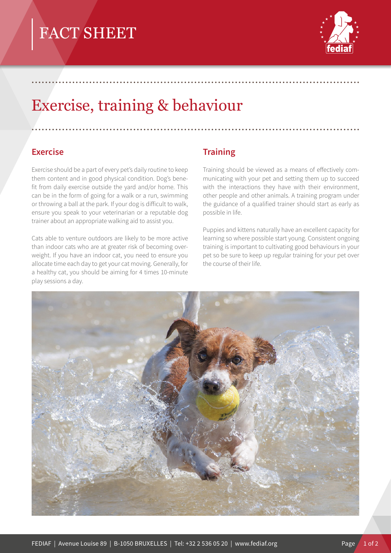

# Exercise, training & behaviour

### **Exercise**

Exercise should be a part of every pet's daily routine to keep them content and in good physical condition. Dog's benefit from daily exercise outside the yard and/or home. This can be in the form of going for a walk or a run, swimming or throwing a ball at the park. If your dog is difficult to walk, ensure you speak to your veterinarian or a reputable dog trainer about an appropriate walking aid to assist you.

Cats able to venture outdoors are likely to be more active than indoor cats who are at greater risk of becoming overweight. If you have an indoor cat, you need to ensure you allocate time each day to get your cat moving. Generally, for a healthy cat, you should be aiming for 4 times 10-minute play sessions a day.

## **Training**

.................................................................................................

.................................................................................................

Training should be viewed as a means of effectively communicating with your pet and setting them up to succeed with the interactions they have with their environment, other people and other animals. A training program under the guidance of a qualified trainer should start as early as possible in life.

Puppies and kittens naturally have an excellent capacity for learning so where possible start young. Consistent ongoing training is important to cultivating good behaviours in your pet so be sure to keep up regular training for your pet over the course of their life.